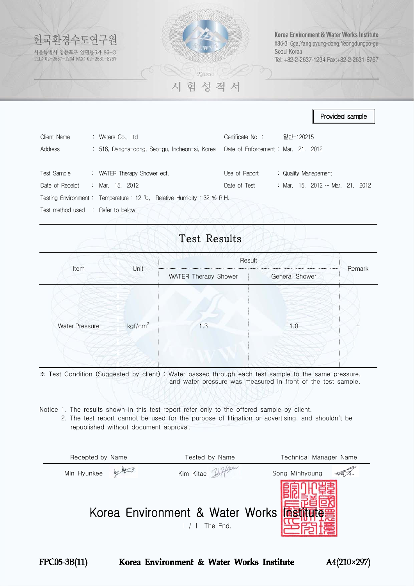

|                                              |                                                                                                       |                  |           | Provided sample                      |  |
|----------------------------------------------|-------------------------------------------------------------------------------------------------------|------------------|-----------|--------------------------------------|--|
| Client Name<br>Address                       | : Waters Co., Ltd<br>: 516, Dangha-dong, Seo-gu, Incheon-si, Korea Date of Enforcement: Mar. 21, 2012 | Certificate No.: | 일반-120215 |                                      |  |
| Test Sample                                  | : WATER Therapy Shower ect.                                                                           | Use of Report    |           | : Quality Management                 |  |
| Date of Receipt                              | : Mar. 15, 2012                                                                                       | Date of Test     |           | : Mar. 15. 2012 $\sim$ Mar. 21. 2012 |  |
|                                              | Testing Environment: Temperature: 12 °C, Relative Humidity: 32 % R.H.                                 |                  |           |                                      |  |
| Test method used $\therefore$ Refer to below |                                                                                                       |                  |           |                                      |  |

## Test Results

|                       |                     | Result                                 |                 |        |  |  |
|-----------------------|---------------------|----------------------------------------|-----------------|--------|--|--|
| Item                  | Unit                | WATER Therapy Shower<br>General Shower |                 | Remark |  |  |
| <b>Water Pressure</b> | kgf/cm <sup>2</sup> | 1.3                                    | $\mathsf{I}$ .0 |        |  |  |

※ Test Condition (Suggested by client) : Water passed through each test sample to the same pressure, and water pressure was measured in front of the test sample.

Notice 1. The results shown in this test report refer only to the offered sample by client.

 2. The test report cannot be used for the purpose of litigation or advertising, and shouldn't be republished without document approval.

| Recepted by Name | Tested by Name                                            | Technical Manager Name |
|------------------|-----------------------------------------------------------|------------------------|
| Min Hyunkee      | Kim Kitae                                                 | Song Minhyoung         |
|                  | Korea Environment & Water Works <b>面對</b><br>/ 1 The End. |                        |



Korea Environment & Water Works Institute

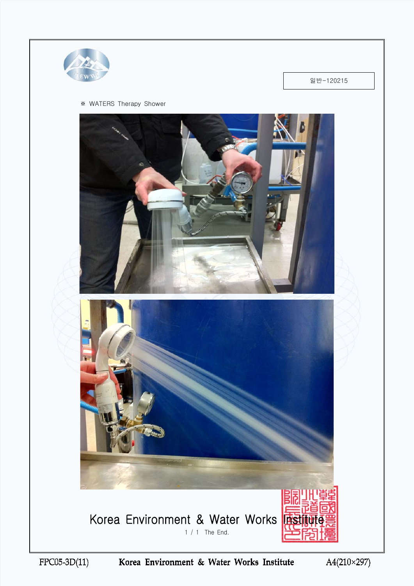

일반-120215

## ※ WATERS Therapy Shower